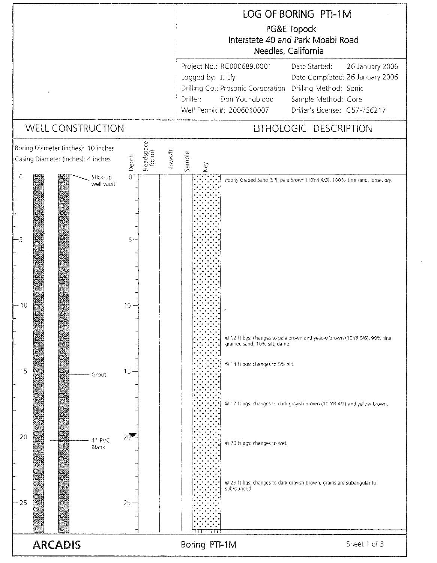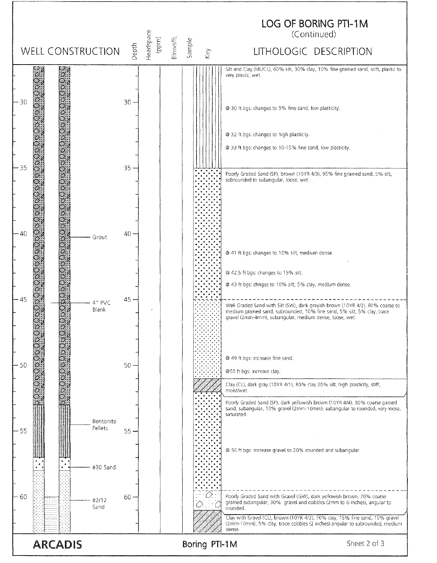